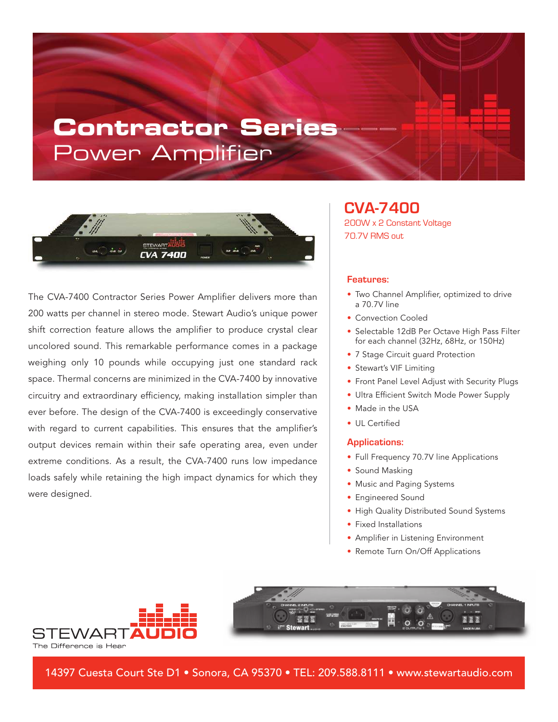# **Contractor Series** Power Amplifier



The CVA-7400 Contractor Series Power Amplifier delivers more than 200 watts per channel in stereo mode. Stewart Audio's unique power shift correction feature allows the amplifier to produce crystal clear uncolored sound. This remarkable performance comes in a package weighing only 10 pounds while occupying just one standard rack space. Thermal concerns are minimized in the CVA-7400 by innovative circuitry and extraordinary efficiency, making installation simpler than ever before. The design of the CVA-7400 is exceedingly conservative with regard to current capabilities. This ensures that the amplifier's output devices remain within their safe operating area, even under extreme conditions. As a result, the CVA-7400 runs low impedance loads safely while retaining the high impact dynamics for which they were designed.

### **CVA-7400** 200W x 2 Constant Voltage 70.7V RMS out

#### **Features:**

- Two Channel Amplifier, optimized to drive a 70.7V line
- Convection Cooled
- Selectable 12dB Per Octave High Pass Filter for each channel (32Hz, 68Hz, or 150Hz)
- 7 Stage Circuit guard Protection
- Stewart's VIF Limiting
- Front Panel Level Adjust with Security Plugs
- Ultra Efficient Switch Mode Power Supply
- Made in the USA
- UL Certified

#### **Applications:**

- Full Frequency 70.7V line Applications
- Sound Masking
- Music and Paging Systems
- Engineered Sound
- High Quality Distributed Sound Systems
- Fixed Installations
- Amplifier in Listening Environment
- Remote Turn On/Off Applications